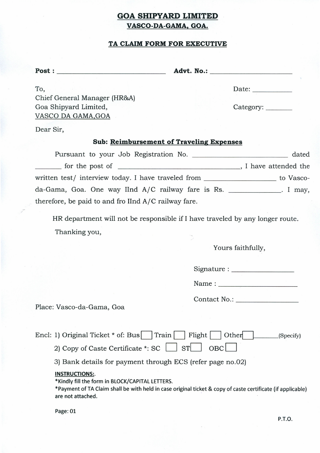## **GOA SHIPYARD LIMITED VASCO-DA-GAMA. GOA.**

### **TA CLAIM FORM FOR EXECUTIVE**

Post: \_ **Advt.** No.: \_

Date: \_

To, Chief General Manager (HR&A) Goa Shipyard Limited, VASCODAGAMA,GOA

Category:

Dear Sir,

### **Sub: Reimbursement of Traveling Expenses**

Pursuant to your Job Registration No. \_\_\_\_\_\_\_\_\_\_\_\_\_\_\_\_\_\_\_\_\_\_\_\_\_\_ dated  $\Box$  for the post of  $\Box$  is a set of  $\Box$  is a set of  $\Box$  is a set of  $\Box$  is a set of  $\Box$  is a set of  $\Box$  is a set of  $\Box$  is a set of  $\Box$  is a set of  $\Box$  is a set of  $\Box$  is a set of  $\Box$  is a set of  $\Box$  is a set written test/ interview today. I have traveled from \_\_\_\_\_\_\_\_\_\_\_\_\_\_\_\_\_\_ to Vascoda-Gama, Goa. One way IInd A/C railway fare is Rs. \_\_\_\_\_\_\_\_\_\_\_\_\_. I may, therefore, be paid to and fro IInd A/C railway fare.

HR department will not be responsible if I have traveled by any longer route. Thanking you,

Yours faithfully,

Signature: \_

Name : \_

| <b>Contact No.:</b> |  |  |  |
|---------------------|--|--|--|
|                     |  |  |  |

Place: Vasco-da-Gama, Goa

Encl: 1) Original Ticket \* of: Bus Train Flight Other (Specify)

2) Copy of Caste Certificate  $*:\mathsf{SC} \left[ \begin{array}{c|c} | & \mathsf{ST} \end{array} \right]$  OBC $\left[ \begin{array}{c|c} | \end{array} \right]$ 

3) Bank details for payment through ECS (refer page no.02)

#### **INSTRUCTIONS:.**

\*Kindly fill the form in BLOCK/CAPITAL LETTERS.

\*Payment ofTA Claim shall be with held in case original ticket & copy of caste certificate (if applicable) are not attached.

Page: 01